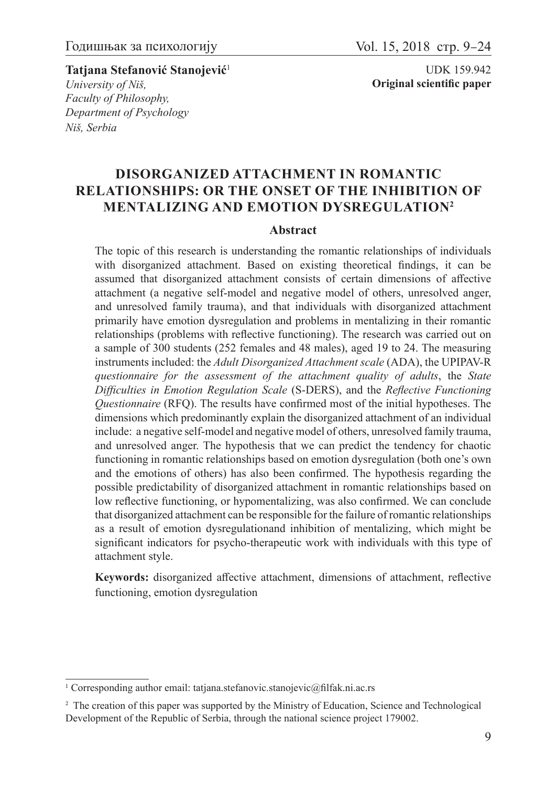**Tatjana Stefanović Stanojević**<sup>1</sup> *University of Niš, Faculty of Philosophy, Department of Psychology Niš, Serbia*

# **Disorganized attachment in romantic relationships: Or the onset of the inhibition of mentalizing and emotion dysregulation<sup>2</sup>**

#### **Abstract**

The topic of this research is understanding the romantic relationships of individuals with disorganized attachment. Based on existing theoretical findings, it can be assumed that disorganized attachment consists of certain dimensions of affective attachment (a negative self-model and negative model of others, unresolved anger, and unresolved family trauma), and that individuals with disorganized attachment primarily have emotion dysregulation and problems in mentalizing in their romantic relationships (problems with reflective functioning). The research was carried out on a sample of 300 students (252 females and 48 males), aged 19 to 24. The measuring instruments included: the *Adult Disorganized Attachment scale* (ADA), the UPIPAV-R *questionnaire for the assessment of the attachment quality of adults*, the *State Difficulties in Emotion Regulation Scale* (S-DERS), and the *Reflective Functioning Questionnaire* (RFQ). The results have confirmed most of the initial hypotheses. The dimensions which predominantly explain the disorganized attachment of an individual include: a negative self-model and negative model of others, unresolved family trauma, and unresolved anger. The hypothesis that we can predict the tendency for chaotic functioning in romantic relationships based on emotion dysregulation (both one's own and the emotions of others) has also been confirmed. The hypothesis regarding the possible predictability of disorganized attachment in romantic relationships based on low reflective functioning, or hypomentalizing, was also confirmed. We can conclude that disorganized attachment can be responsible for the failure of romantic relationships as a result of emotion dysregulationand inhibition of mentalizing, which might be significant indicators for psycho-therapeutic work with individuals with this type of attachment style.

**Keywords:** disorganized affective attachment, dimensions of attachment, reflective functioning, emotion dysregulation

<sup>&</sup>lt;sup>1</sup> Corresponding author email: tatjana.stefanovic.stanojevic@filfak.ni.ac.rs

<sup>&</sup>lt;sup>2</sup> The creation of this paper was supported by the Ministry of Education, Science and Technological Development of the Republic of Serbia, through the national science project 179002.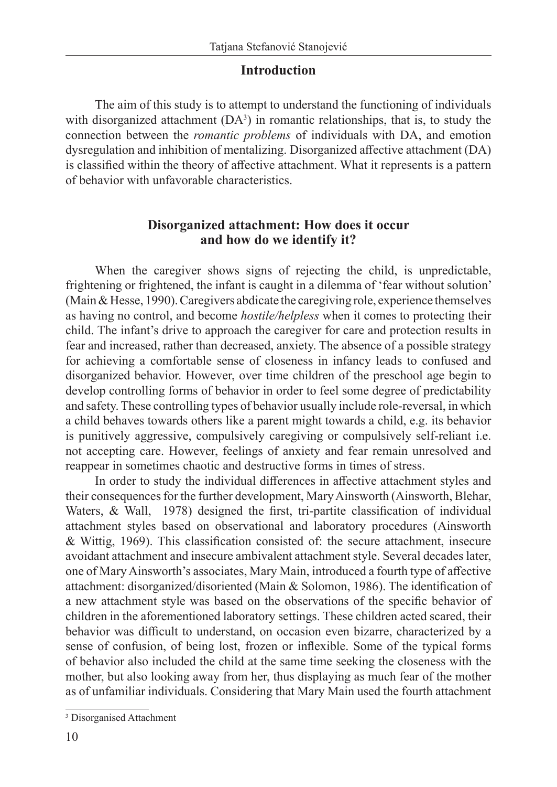## **Introduction**

The aim of this study is to attempt to understand the functioning of individuals with disorganized attachment  $(DA<sup>3</sup>)$  in romantic relationships, that is, to study the connection between the *romantic problems* of individuals with DA, and emotion dysregulation and inhibition of mentalizing. Disorganized affective attachment (DA) is classified within the theory of affective attachment. What it represents is a pattern of behavior with unfavorable characteristics.

## **Disorganized attachment: How does it occur and how do we identify it?**

When the caregiver shows signs of rejecting the child, is unpredictable, frightening or frightened, the infant is caught in a dilemma of 'fear without solution' (Main & Hesse, 1990). Caregivers abdicate the caregiving role, experience themselves as having no control, and become *hostile/helpless* when it comes to protecting their child. The infant's drive to approach the caregiver for care and protection results in fear and increased, rather than decreased, anxiety. The absence of a possible strategy for achieving a comfortable sense of closeness in infancy leads to confused and disorganized behavior. However, over time children of the preschool age begin to develop controlling forms of behavior in order to feel some degree of predictability and safety. These controlling types of behavior usually include role-reversal, in which a child behaves towards others like a parent might towards a child, e.g. its behavior is punitively aggressive, compulsively caregiving or compulsively self-reliant i.e. not accepting care. However, feelings of anxiety and fear remain unresolved and reappear in sometimes chaotic and destructive forms in times of stress.

In order to study the individual differences in affective attachment styles and their consequences for the further development, Mary Ainsworth (Ainsworth, Blehar, Waters, & Wall, 1978) designed the first, tri-partite classification of individual attachment styles based on observational and laboratory procedures (Ainsworth & Wittig, 1969). This classification consisted of: the secure attachment, insecure avoidant attachment and insecure ambivalent attachment style. Several decades later, one of Mary Ainsworth's associates, Mary Main, introduced a fourth type of affective attachment: disorganized/disoriented (Main & Solomon, 1986). The identification of a new attachment style was based on the observations of the specific behavior of children in the aforementioned laboratory settings. These children acted scared, their behavior was difficult to understand, on occasion even bizarre, characterized by a sense of confusion, of being lost, frozen or inflexible. Some of the typical forms of behavior also included the child at the same time seeking the closeness with the mother, but also looking away from her, thus displaying as much fear of the mother as of unfamiliar individuals. Considering that Mary Main used the fourth attachment

<sup>3</sup> Disorganised Attachment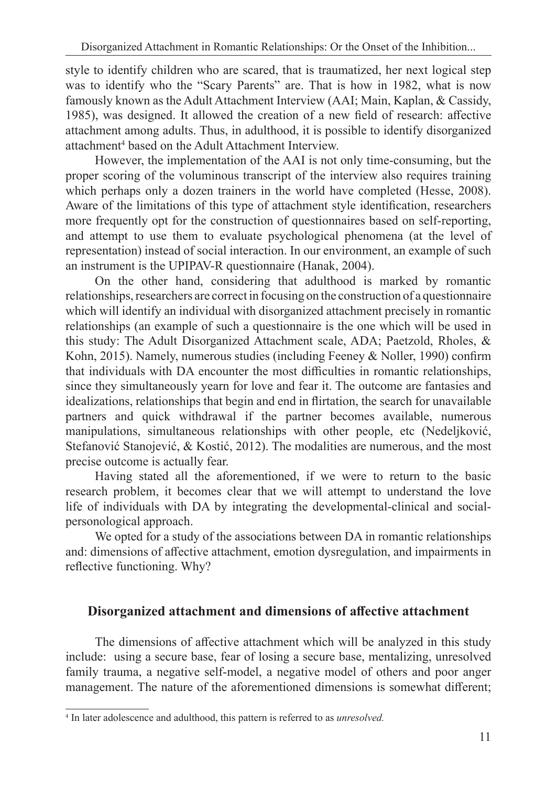style to identify children who are scared, that is traumatized, her next logical step was to identify who the "Scary Parents" are. That is how in 1982, what is now famously known as the Adult Attachment Interview (AAI; Main, Kaplan, & Cassidy, 1985), was designed. It allowed the creation of a new field of research: affective attachment among adults. Thus, in adulthood, it is possible to identify disorganized attachment<sup>4</sup> based on the Adult Attachment Interview.

However, the implementation of the AAI is not only time-consuming, but the proper scoring of the voluminous transcript of the interview also requires training which perhaps only a dozen trainers in the world have completed (Hesse, 2008). Aware of the limitations of this type of attachment style identification, researchers more frequently opt for the construction of questionnaires based on self-reporting, and attempt to use them to evaluate psychological phenomena (at the level of representation) instead of social interaction. In our environment, an example of such an instrument is the UPIPAV-R questionnaire (Hanak, 2004).

On the other hand, considering that adulthood is marked by romantic relationships, researchers are correct in focusing on the construction of a questionnaire which will identify an individual with disorganized attachment precisely in romantic relationships (an example of such a questionnaire is the one which will be used in this study: The Adult Disorganized Attachment scale, ADA; Paetzold, Rholes, & Kohn, 2015). Namely, numerous studies (including Feeney & Noller, 1990) confirm that individuals with DA encounter the most difficulties in romantic relationships, since they simultaneously yearn for love and fear it. The outcome are fantasies and idealizations, relationships that begin and end in flirtation, the search for unavailable partners and quick withdrawal if the partner becomes available, numerous manipulations, simultaneous relationships with other people, etc (Nedeljković, Stefanović Stanojević, & Kostić, 2012). The modalities are numerous, and the most precise outcome is actually fear.

Having stated all the aforementioned, if we were to return to the basic research problem, it becomes clear that we will attempt to understand the love life of individuals with DA by integrating the developmental-clinical and socialpersonological approach.

We opted for a study of the associations between DA in romantic relationships and: dimensions of affective attachment, emotion dysregulation, and impairments in reflective functioning. Why?

# **Disorganized attachment and dimensions of affective attachment**

The dimensions of affective attachment which will be analyzed in this study include: using a secure base, fear of losing a secure base, mentalizing, unresolved family trauma, a negative self-model, a negative model of others and poor anger management. The nature of the aforementioned dimensions is somewhat different;

<sup>4</sup> In later adolescence and adulthood, this pattern is referred to as *unresolved.*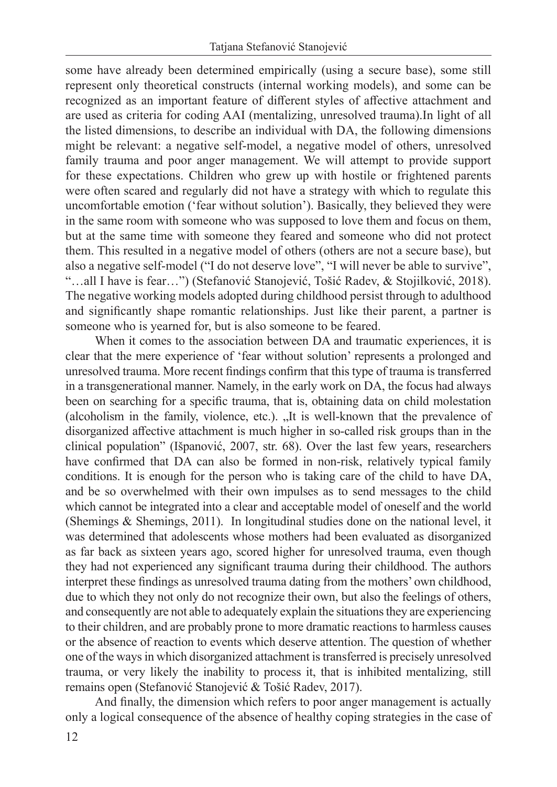some have already been determined empirically (using a secure base), some still represent only theoretical constructs (internal working models), and some can be recognized as an important feature of different styles of affective attachment and are used as criteria for coding AAI (mentalizing, unresolved trauma).In light of all the listed dimensions, to describe an individual with DA, the following dimensions might be relevant: a negative self-model, a negative model of others, unresolved family trauma and poor anger management. We will attempt to provide support for these expectations. Children who grew up with hostile or frightened parents were often scared and regularly did not have a strategy with which to regulate this uncomfortable emotion ('fear without solution'). Basically, they believed they were in the same room with someone who was supposed to love them and focus on them, but at the same time with someone they feared and someone who did not protect them. This resulted in a negative model of others (others are not a secure base), but also a negative self-model ("I do not deserve love", "I will never be able to survive", "…all I have is fear…") (Stefanović Stanojević, Tošić Radev, & Stojilković, 2018). The negative working models adopted during childhood persist through to adulthood and significantly shape romantic relationships. Just like their parent, a partner is someone who is yearned for, but is also someone to be feared.

When it comes to the association between DA and traumatic experiences, it is clear that the mere experience of 'fear without solution' represents a prolonged and unresolved trauma. More recent findings confirm that this type of trauma is transferred in a transgenerational manner. Namely, in the early work on DA, the focus had always been on searching for a specific trauma, that is, obtaining data on child molestation (alcoholism in the family, violence, etc.). "It is well-known that the prevalence of disorganized affective attachment is much higher in so-called risk groups than in the clinical population" (Išpanović, 2007, str. 68). Over the last few years, researchers have confirmed that DA can also be formed in non-risk, relatively typical family conditions. It is enough for the person who is taking care of the child to have DA, and be so overwhelmed with their own impulses as to send messages to the child which cannot be integrated into a clear and acceptable model of oneself and the world (Shemings & Shemings, 2011). In longitudinal studies done on the national level, it was determined that adolescents whose mothers had been evaluated as disorganized as far back as sixteen years ago, scored higher for unresolved trauma, even though they had not experienced any significant trauma during their childhood. The authors interpret these findings as unresolved trauma dating from the mothers' own childhood, due to which they not only do not recognize their own, but also the feelings of others, and consequently are not able to adequately explain the situations they are experiencing to their children, and are probably prone to more dramatic reactions to harmless causes or the absence of reaction to events which deserve attention. The question of whether one of the ways in which disorganized attachment is transferred is precisely unresolved trauma, or very likely the inability to process it, that is inhibited mentalizing, still remains open (Stefanović Stanojević & Tošić Radev, 2017).

And finally, the dimension which refers to poor anger management is actually only a logical consequence of the absence of healthy coping strategies in the case of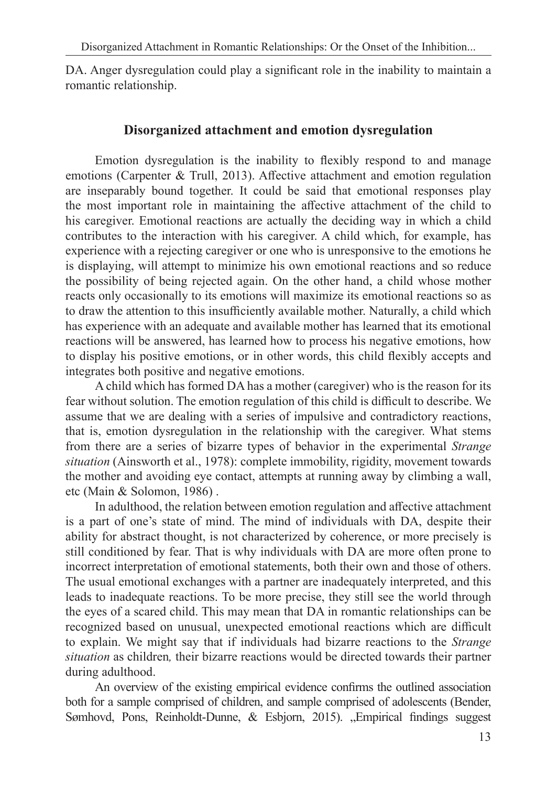DA. Anger dysregulation could play a significant role in the inability to maintain a romantic relationship.

## **Disorganized attachment and emotion dysregulation**

Emotion dysregulation is the inability to flexibly respond to and manage emotions (Carpenter & Trull, 2013). Affective attachment and emotion regulation are inseparably bound together. It could be said that emotional responses play the most important role in maintaining the affective attachment of the child to his caregiver. Emotional reactions are actually the deciding way in which a child contributes to the interaction with his caregiver. A child which, for example, has experience with a rejecting caregiver or one who is unresponsive to the emotions he is displaying, will attempt to minimize his own emotional reactions and so reduce the possibility of being rejected again. On the other hand, a child whose mother reacts only occasionally to its emotions will maximize its emotional reactions so as to draw the attention to this insufficiently available mother. Naturally, a child which has experience with an adequate and available mother has learned that its emotional reactions will be answered, has learned how to process his negative emotions, how to display his positive emotions, or in other words, this child flexibly accepts and integrates both positive and negative emotions.

A child which has formed DA has a mother (caregiver) who is the reason for its fear without solution. The emotion regulation of this child is difficult to describe. We assume that we are dealing with a series of impulsive and contradictory reactions, that is, emotion dysregulation in the relationship with the caregiver. What stems from there are a series of bizarre types of behavior in the experimental *Strange situation* (Ainsworth et al., 1978): complete immobility, rigidity, movement towards the mother and avoiding eye contact, attempts at running away by climbing a wall, etc (Main & Solomon, 1986) .

In adulthood, the relation between emotion regulation and affective attachment is a part of one's state of mind. The mind of individuals with DA, despite their ability for abstract thought, is not characterized by coherence, or more precisely is still conditioned by fear. That is why individuals with DA are more often prone to incorrect interpretation of emotional statements, both their own and those of others. The usual emotional exchanges with a partner are inadequately interpreted, and this leads to inadequate reactions. To be more precise, they still see the world through the eyes of a scared child. This may mean that DA in romantic relationships can be recognized based on unusual, unexpected emotional reactions which are difficult to explain. We might say that if individuals had bizarre reactions to the *Strange situation* as children*,* their bizarre reactions would be directed towards their partner during adulthood.

An overview of the existing empirical evidence confirms the outlined association both for a sample comprised of children, and sample comprised of adolescents (Bender, Sømhovd, Pons, Reinholdt-Dunne, & Esbjorn, 2015). "Empirical findings suggest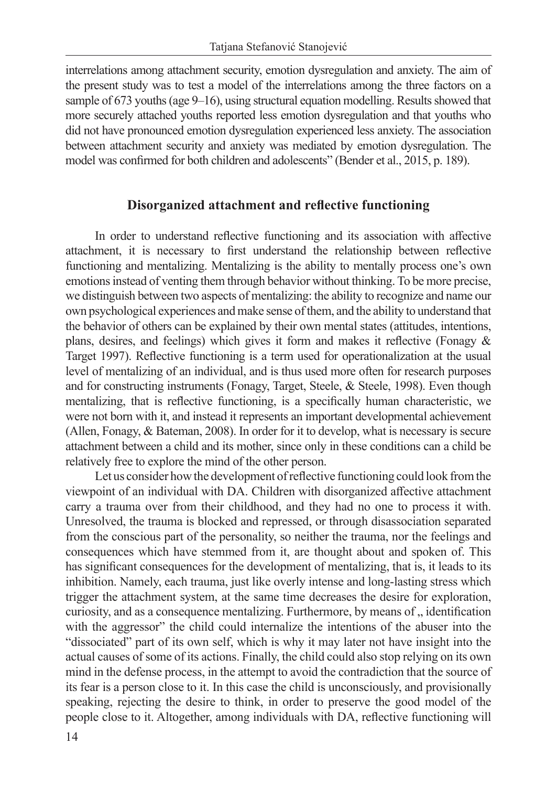interrelations among attachment security, emotion dysregulation and anxiety. The aim of the present study was to test a model of the interrelations among the three factors on a sample of 673 youths (age 9–16), using structural equation modelling. Results showed that more securely attached youths reported less emotion dysregulation and that youths who did not have pronounced emotion dysregulation experienced less anxiety. The association between attachment security and anxiety was mediated by emotion dysregulation. The model was confirmed for both children and adolescents" (Bender et al., 2015, p. 189).

## **Disorganized attachment and reflective functioning**

In order to understand reflective functioning and its association with affective attachment, it is necessary to first understand the relationship between reflective functioning and mentalizing. Mentalizing is the ability to mentally process one's own emotions instead of venting them through behavior without thinking. To be more precise, we distinguish between two aspects of mentalizing: the ability to recognize and name our own psychological experiences and make sense of them, and the ability to understand that the behavior of others can be explained by their own mental states (attitudes, intentions, plans, desires, and feelings) which gives it form and makes it reflective (Fonagy & Target 1997). Reflective functioning is a term used for operationalization at the usual level of mentalizing of an individual, and is thus used more often for research purposes and for constructing instruments (Fonagy, Target, Steele, & Steele, 1998). Even though mentalizing, that is reflective functioning, is a specifically human characteristic, we were not born with it, and instead it represents an important developmental achievement (Allen, Fonagy, & Bateman, 2008). In order for it to develop, what is necessary is secure attachment between a child and its mother, since only in these conditions can a child be relatively free to explore the mind of the other person.

Let us consider how the development of reflective functioning could look from the viewpoint of an individual with DA. Children with disorganized affective attachment carry a trauma over from their childhood, and they had no one to process it with. Unresolved, the trauma is blocked and repressed, or through disassociation separated from the conscious part of the personality, so neither the trauma, nor the feelings and consequences which have stemmed from it, are thought about and spoken of. This has significant consequences for the development of mentalizing, that is, it leads to its inhibition. Namely, each trauma, just like overly intense and long-lasting stress which trigger the attachment system, at the same time decreases the desire for exploration, curiosity, and as a consequence mentalizing. Furthermore, by means of  $,$  identification with the aggressor" the child could internalize the intentions of the abuser into the "dissociated" part of its own self, which is why it may later not have insight into the actual causes of some of its actions. Finally, the child could also stop relying on its own mind in the defense process, in the attempt to avoid the contradiction that the source of its fear is a person close to it. In this case the child is unconsciously, and provisionally speaking, rejecting the desire to think, in order to preserve the good model of the people close to it. Altogether, among individuals with DA, reflective functioning will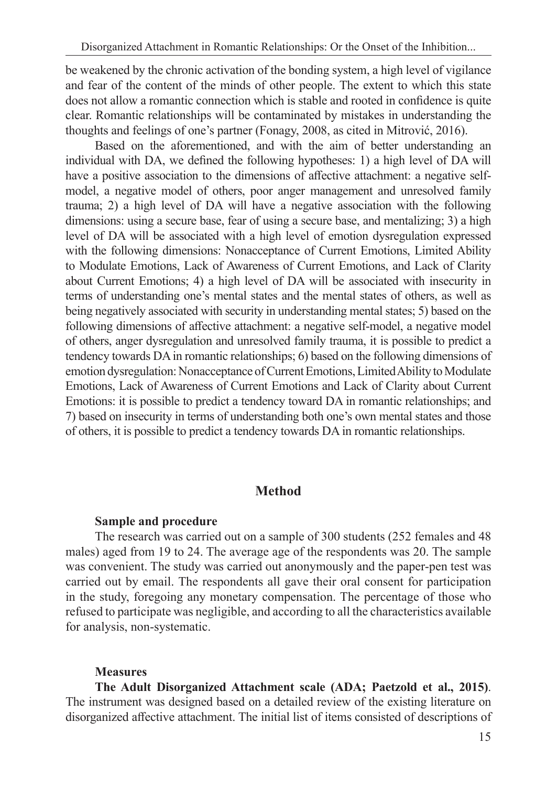be weakened by the chronic activation of the bonding system, a high level of vigilance and fear of the content of the minds of other people. The extent to which this state does not allow a romantic connection which is stable and rooted in confidence is quite clear. Romantic relationships will be contaminated by mistakes in understanding the thoughts and feelings of one's partner (Fonagy, 2008, as cited in Mitrović, 2016).

Based on the aforementioned, and with the aim of better understanding an individual with DA, we defined the following hypotheses: 1) a high level of DA will have a positive association to the dimensions of affective attachment: a negative selfmodel, a negative model of others, poor anger management and unresolved family trauma; 2) a high level of DA will have a negative association with the following dimensions: using a secure base, fear of using a secure base, and mentalizing; 3) a high level of DA will be associated with a high level of emotion dysregulation expressed with the following dimensions: Nonacceptance of Current Emotions, Limited Ability to Modulate Emotions, Lack of Awareness of Current Emotions, and Lack of Clarity about Current Emotions; 4) a high level of DA will be associated with insecurity in terms of understanding one's mental states and the mental states of others, as well as being negatively associated with security in understanding mental states; 5) based on the following dimensions of affective attachment: a negative self-model, a negative model of others, anger dysregulation and unresolved family trauma, it is possible to predict a tendency towards DA in romantic relationships; 6) based on the following dimensions of emotion dysregulation: Nonacceptance of Current Emotions, Limited Ability to Modulate Emotions, Lack of Awareness of Current Emotions and Lack of Clarity about Current Emotions: it is possible to predict a tendency toward DA in romantic relationships; and 7) based on insecurity in terms of understanding both one's own mental states and those of others, it is possible to predict a tendency towards DA in romantic relationships.

## **Method**

#### **Sample and procedure**

The research was carried out on a sample of 300 students (252 females and 48 males) aged from 19 to 24. The average age of the respondents was 20. The sample was convenient. The study was carried out anonymously and the paper-pen test was carried out by email. The respondents all gave their oral consent for participation in the study, foregoing any monetary compensation. The percentage of those who refused to participate was negligible, and according to all the characteristics available for analysis, non-systematic.

### **Measures**

**The Adult Disorganized Attachment scale (ADA; Paetzold et al., 2015)**. The instrument was designed based on a detailed review of the existing literature on disorganized affective attachment. The initial list of items consisted of descriptions of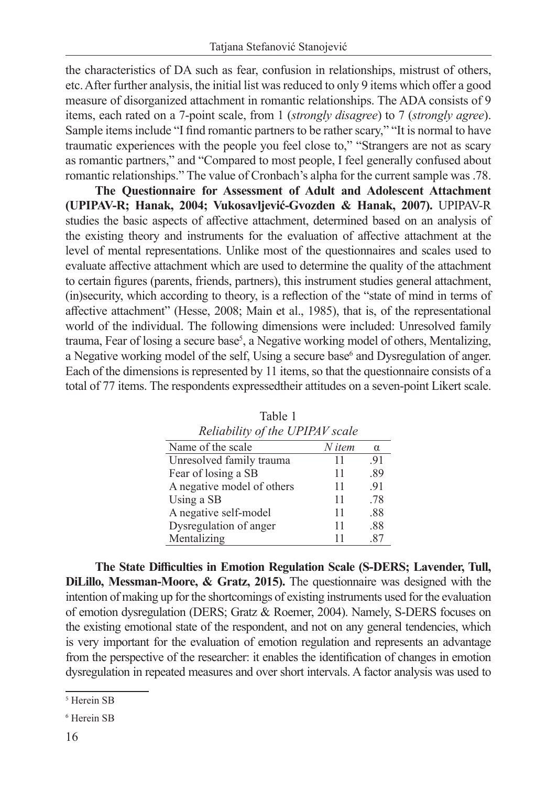the characteristics of DA such as fear, confusion in relationships, mistrust of others, etc. After further analysis, the initial list was reduced to only 9 items which offer a good measure of disorganized attachment in romantic relationships. The ADA consists of 9 items, each rated on a 7-point scale, from 1 (*strongly disagree*) to 7 (*strongly agree*). Sample items include "I find romantic partners to be rather scary," "It is normal to have traumatic experiences with the people you feel close to," "Strangers are not as scary as romantic partners," and "Compared to most people, I feel generally confused about romantic relationships." The value of Cronbach's alpha for the current sample was .78.

**The Questionnaire for Assessment of Adult and Adolescent Attachment (UPIPAV-R; Hanak, 2004; Vukosavljević-Gvozden & Hanak, 2007).** UPIPAV-R studies the basic aspects of affective attachment, determined based on an analysis of the existing theory and instruments for the evaluation of affective attachment at the level of mental representations. Unlike most of the questionnaires and scales used to evaluate affective attachment which are used to determine the quality of the attachment to certain figures (parents, friends, partners), this instrument studies general attachment, (in)security, which according to theory, is a reflection of the "state of mind in terms of affective attachment" (Hesse, 2008; Main et al., 1985), that is, of the representational world of the individual. The following dimensions were included: Unresolved family trauma, Fear of losing a secure base<sup>5</sup>, a Negative working model of others, Mentalizing, a Negative working model of the self, Using a secure base<sup>6</sup> and Dysregulation of anger. Each of the dimensions is represented by 11 items, so that the questionnaire consists of a total of 77 items. The respondents expressedtheir attitudes on a seven-point Likert scale.

| Retubility of the OFIFAY Scale |        |          |  |  |  |  |  |
|--------------------------------|--------|----------|--|--|--|--|--|
| Name of the scale              | N item | $\alpha$ |  |  |  |  |  |
| Unresolved family trauma       | 11     | .91      |  |  |  |  |  |
| Fear of losing a SB            | 11     | .89      |  |  |  |  |  |
| A negative model of others     | 11     | .91      |  |  |  |  |  |
| Using a SB                     | 11     | .78      |  |  |  |  |  |
| A negative self-model          | 11     | .88      |  |  |  |  |  |
| Dysregulation of anger         | 11     | .88      |  |  |  |  |  |
| Mentalizing                    | 11     | .87      |  |  |  |  |  |

Table 1 *Reliability of the UPIPAV scale*

**The State Difficulties in Emotion Regulation Scale (S-DERS; Lavender, Tull, DiLillo, Messman-Moore, & Gratz, 2015).** The questionnaire was designed with the intention of making up for the shortcomings of existing instruments used for the evaluation of emotion dysregulation (DERS; Gratz & Roemer, 2004). Namely, S-DERS focuses on the existing emotional state of the respondent, and not on any general tendencies, which is very important for the evaluation of emotion regulation and represents an advantage from the perspective of the researcher: it enables the identification of changes in emotion dysregulation in repeated measures and over short intervals. A factor analysis was used to

<sup>5</sup> Herein SB

<sup>6</sup> Herein SB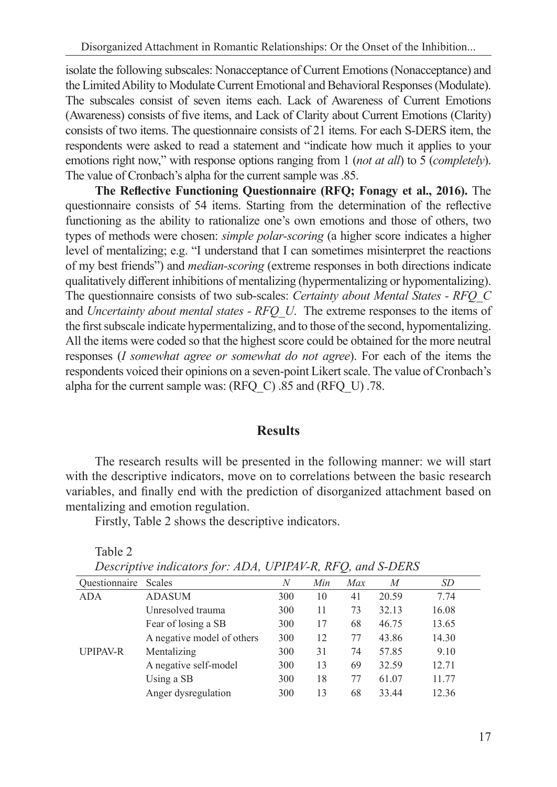isolate the following subscales: Nonacceptance of Current Emotions (Nonacceptance) and the Limited Ability to Modulate Current Emotional and Behavioral Responses (Modulate). The subscales consist of seven items each. Lack of Awareness of Current Emotions (Awareness) consists of five items, and Lack of Clarity about Current Emotions (Clarity) consists of two items. The questionnaire consists of 21 items. For each S-DERS item, the respondents were asked to read a statement and "indicate how much it applies to your emotions right now," with response options ranging from 1 (*not at all*) to 5 (*completely*). The value of Cronbach's alpha for the current sample was .85.

**The Reflective Functioning Questionnaire (RFQ; Fonagy et al., 2016).** The questionnaire consists of 54 items. Starting from the determination of the reflective functioning as the ability to rationalize one's own emotions and those of others, two types of methods were chosen: *simple polar-scoring* (a higher score indicates a higher level of mentalizing; e.g. "I understand that I can sometimes misinterpret the reactions of my best friends") and *median-scoring* (extreme responses in both directions indicate qualitatively different inhibitions of mentalizing (hypermentalizing or hypomentalizing). The questionnaire consists of two sub-scales: *Certainty about Mental States - RFQ\_C*  and *Uncertainty about mental states - RFQ\_U*. The extreme responses to the items of the first subscale indicate hypermentalizing, and to those of the second, hypomentalizing. All the items were coded so that the highest score could be obtained for the more neutral responses (*I somewhat agree or somewhat do not agree*). For each of the items the respondents voiced their opinions on a seven-point Likert scale. The value of Cronbach's alpha for the current sample was: (RFQ\_C) .85 and (RFQ\_U) .78.

### **Results**

The research results will be presented in the following manner: we will start with the descriptive indicators, move on to correlations between the basic research variables, and finally end with the prediction of disorganized attachment based on mentalizing and emotion regulation.

Firstly, Table 2 shows the descriptive indicators.

Table 2

| Ouestionnaire   | Scales                     | N   | Min | Max | M     | <i>SD</i> |
|-----------------|----------------------------|-----|-----|-----|-------|-----------|
| <b>ADA</b>      | ADASUM                     | 300 | 10  | 41  | 20.59 | 7.74      |
|                 | Unresolved trauma          | 300 | 11  | 73  | 32.13 | 16.08     |
|                 | Fear of losing a SB        | 300 | 17  | 68  | 46.75 | 13.65     |
|                 | A negative model of others | 300 | 12  | 77  | 43.86 | 14.30     |
| <b>UPIPAV-R</b> | Mentalizing                | 300 | 31  | 74  | 57.85 | 9.10      |
|                 | A negative self-model      | 300 | 13  | 69  | 32.59 | 12.71     |
|                 | Using a SB                 | 300 | 18  | 77  | 61.07 | 11.77     |
|                 | Anger dysregulation        | 300 | 13  | 68  | 33.44 | 12.36     |

*Descriptive indicators for: ADA, UPIPAV-R, RFQ, and S-DERS*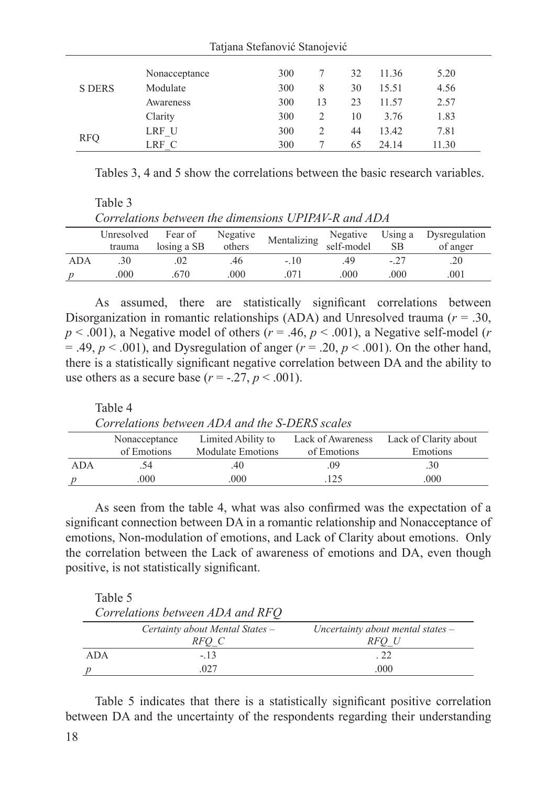|            | Nonacceptance | 300 |    | 32 | 11.36 | 5.20  |
|------------|---------------|-----|----|----|-------|-------|
| S DERS     | Modulate      | 300 | 8  | 30 | 15.51 | 4.56  |
|            | Awareness     | 300 | 13 | 23 | 11.57 | 2.57  |
|            | Clarity       | 300 |    | 10 | 3.76  | 1.83  |
| <b>RFQ</b> | LRF U         | 300 |    | 44 | 13.42 | 7.81  |
|            | LRF C         | 300 |    | 65 | 24.14 | 11.30 |

Tatjana Stefanović Stanojević

Tables 3, 4 and 5 show the correlations between the basic research variables.

Table 3 *Correlations between the dimensions UPIPAV-R and ADA* Unresolved trauma Fear of losing a SB Negative others Mentalizing Negative self-model Using a SB Dysregulation of anger ADA .30 .02 .46 -.10 .49 -.27 .20 *p* .000 .670 .000 .071 .000 .000 .001

As assumed, there are statistically significant correlations between Disorganization in romantic relationships (ADA) and Unresolved trauma (*r* = .30,  $p < .001$ ), a Negative model of others ( $r = .46$ ,  $p < .001$ ), a Negative self-model (*r*  $= .49, p < .001$ ), and Dysregulation of anger ( $r = .20, p < .001$ ). On the other hand, there is a statistically significant negative correlation between DA and the ability to use others as a secure base  $(r = -.27, p < .001)$ .

Table 4 *Correlations between ADA and the S-DERS scales* Nonacceptance of Emotions Limited Ability to Modulate Emotions Lack of Awareness of Emotions Lack of Clarity about Emotions ADA .54 .40 .09 .30 *p* .000 .000 .000 .125 .000

As seen from the table 4, what was also confirmed was the expectation of a significant connection between DA in a romantic relationship and Nonacceptance of emotions, Non-modulation of emotions, and Lack of Clarity about emotions. Only the correlation between the Lack of awareness of emotions and DA, even though positive, is not statistically significant.

| Table 5 |                                  |                                     |
|---------|----------------------------------|-------------------------------------|
|         | Correlations between ADA and RFO |                                     |
|         | Certainty about Mental States -  | Uncertainty about mental states $-$ |
|         | RFO C                            | RFO U                               |
| ADA     | $-.13$                           | . 22                                |
|         | .027                             | .000                                |

Table 5 indicates that there is a statistically significant positive correlation between DA and the uncertainty of the respondents regarding their understanding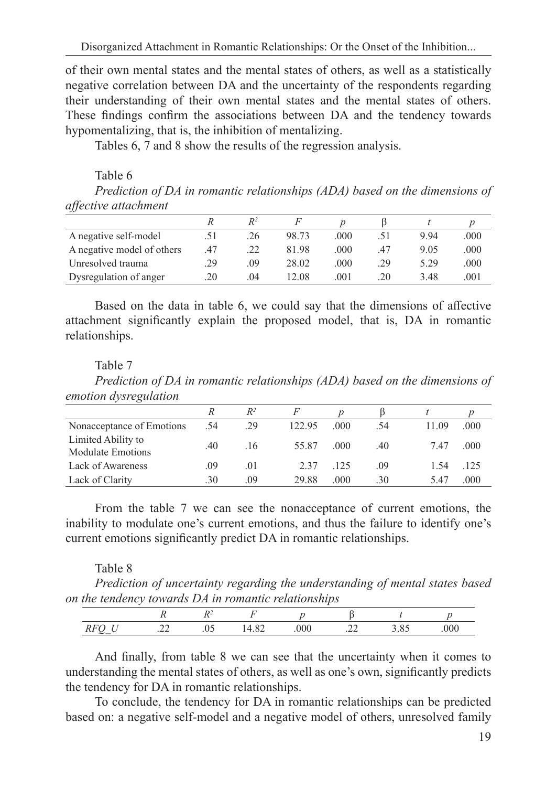of their own mental states and the mental states of others, as well as a statistically negative correlation between DA and the uncertainty of the respondents regarding their understanding of their own mental states and the mental states of others. These findings confirm the associations between DA and the tendency towards hypomentalizing, that is, the inhibition of mentalizing.

Tables 6, 7 and 8 show the results of the regression analysis.

Table 6

*Prediction of DA in romantic relationships (ADA) based on the dimensions of affective attachment* 

| A negative self-model      |     | .26 | 98.73 | .000 |     | 9.94 | .000 |
|----------------------------|-----|-----|-------|------|-----|------|------|
| A negative model of others | .47 |     | 81.98 | .000 | .47 | 9.05 | .000 |
| Unresolved trauma          | .29 | .09 | 28.02 | .000 | .29 | 5.29 | .000 |
| Dysregulation of anger     | .20 | .04 | 12.08 | .001 | 20  | 3.48 | .001 |

Based on the data in table 6, we could say that the dimensions of affective attachment significantly explain the proposed model, that is, DA in romantic relationships.

## Table 7

*Prediction of DA in romantic relationships (ADA) based on the dimensions of emotion dysregulation*

|                                                |     | $R^2$ |        |       |     |       |      |
|------------------------------------------------|-----|-------|--------|-------|-----|-------|------|
| Nonacceptance of Emotions                      | .54 | .29   | 122.95 | .000  | .54 | 11.09 | .000 |
| Limited Ability to<br><b>Modulate Emotions</b> | .40 | .16   | 55.87  | .000. | .40 | 7.47  | .000 |
| Lack of Awareness                              | .09 | .01   | 2.37   | .125  | .09 | 1.54  | .125 |
| Lack of Clarity                                | .30 | .09   | 29.88  | .000  | .30 | 5.47  | .000 |

From the table 7 we can see the nonacceptance of current emotions, the inability to modulate one's current emotions, and thus the failure to identify one's current emotions significantly predict DA in romantic relationships.

## Table 8

*Prediction of uncertainty regarding the understanding of mental states based on the tendency towards DA in romantic relationships*

| $\overline{M}$ |  |  |  | ነበ |
|----------------|--|--|--|----|

And finally, from table 8 we can see that the uncertainty when it comes to understanding the mental states of others, as well as one's own, significantly predicts the tendency for DA in romantic relationships.

To conclude, the tendency for DA in romantic relationships can be predicted based on: a negative self-model and a negative model of others, unresolved family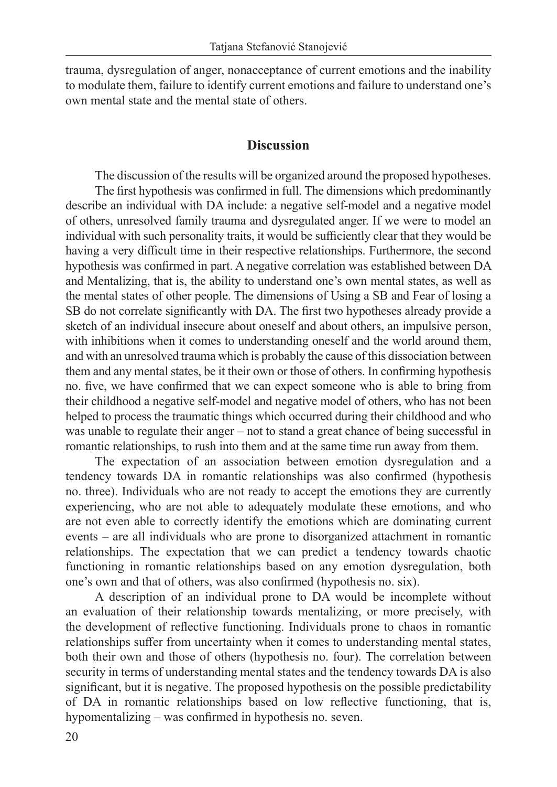trauma, dysregulation of anger, nonacceptance of current emotions and the inability to modulate them, failure to identify current emotions and failure to understand one's own mental state and the mental state of others.

## **Discussion**

The discussion of the results will be organized around the proposed hypotheses. The first hypothesis was confirmed in full. The dimensions which predominantly describe an individual with DA include: a negative self-model and a negative model of others, unresolved family trauma and dysregulated anger. If we were to model an individual with such personality traits, it would be sufficiently clear that they would be having a very difficult time in their respective relationships. Furthermore, the second hypothesis was confirmed in part. A negative correlation was established between DA and Mentalizing, that is, the ability to understand one's own mental states, as well as the mental states of other people. The dimensions of Using a SB and Fear of losing a SB do not correlate significantly with DA. The first two hypotheses already provide a sketch of an individual insecure about oneself and about others, an impulsive person, with inhibitions when it comes to understanding oneself and the world around them, and with an unresolved trauma which is probably the cause of this dissociation between them and any mental states, be it their own or those of others. In confirming hypothesis no. five, we have confirmed that we can expect someone who is able to bring from their childhood a negative self-model and negative model of others, who has not been helped to process the traumatic things which occurred during their childhood and who was unable to regulate their anger – not to stand a great chance of being successful in romantic relationships, to rush into them and at the same time run away from them.

The expectation of an association between emotion dysregulation and a tendency towards DA in romantic relationships was also confirmed (hypothesis no. three). Individuals who are not ready to accept the emotions they are currently experiencing, who are not able to adequately modulate these emotions, and who are not even able to correctly identify the emotions which are dominating current events – are all individuals who are prone to disorganized attachment in romantic relationships. The expectation that we can predict a tendency towards chaotic functioning in romantic relationships based on any emotion dysregulation, both one's own and that of others, was also confirmed (hypothesis no. six).

A description of an individual prone to DA would be incomplete without an evaluation of their relationship towards mentalizing, or more precisely, with the development of reflective functioning. Individuals prone to chaos in romantic relationships suffer from uncertainty when it comes to understanding mental states, both their own and those of others (hypothesis no. four). The correlation between security in terms of understanding mental states and the tendency towards DA is also significant, but it is negative. The proposed hypothesis on the possible predictability of DA in romantic relationships based on low reflective functioning, that is, hypomentalizing – was confirmed in hypothesis no. seven.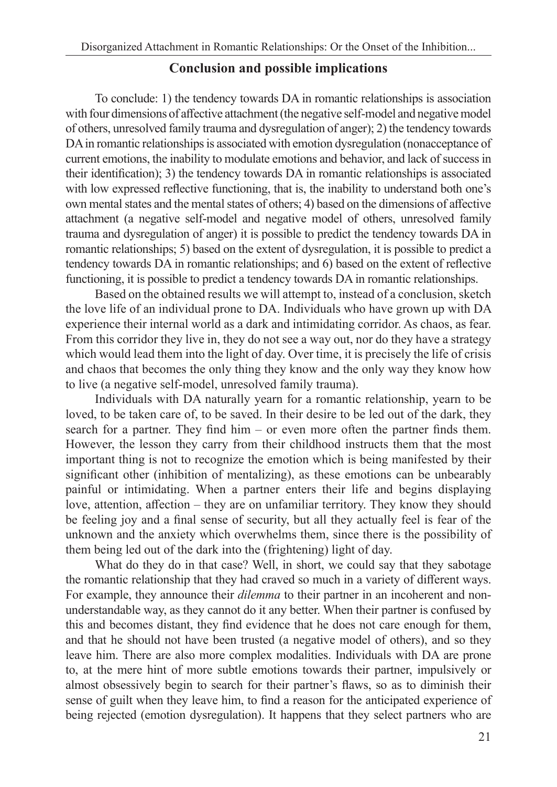# **Conclusion and possible implications**

To conclude: 1) the tendency towards DA in romantic relationships is association with four dimensions of affective attachment (the negative self-model and negative model of others, unresolved family trauma and dysregulation of anger); 2) the tendency towards DA in romantic relationships is associated with emotion dysregulation (nonacceptance of current emotions, the inability to modulate emotions and behavior, and lack of success in their identification); 3) the tendency towards DA in romantic relationships is associated with low expressed reflective functioning, that is, the inability to understand both one's own mental states and the mental states of others; 4) based on the dimensions of affective attachment (a negative self-model and negative model of others, unresolved family trauma and dysregulation of anger) it is possible to predict the tendency towards DA in romantic relationships; 5) based on the extent of dysregulation, it is possible to predict a tendency towards DA in romantic relationships; and 6) based on the extent of reflective functioning, it is possible to predict a tendency towards DA in romantic relationships.

Based on the obtained results we will attempt to, instead of a conclusion, sketch the love life of an individual prone to DA. Individuals who have grown up with DA experience their internal world as a dark and intimidating corridor. As chaos, as fear. From this corridor they live in, they do not see a way out, nor do they have a strategy which would lead them into the light of day. Over time, it is precisely the life of crisis and chaos that becomes the only thing they know and the only way they know how to live (a negative self-model, unresolved family trauma).

Individuals with DA naturally yearn for a romantic relationship, yearn to be loved, to be taken care of, to be saved. In their desire to be led out of the dark, they search for a partner. They find him – or even more often the partner finds them. However, the lesson they carry from their childhood instructs them that the most important thing is not to recognize the emotion which is being manifested by their significant other (inhibition of mentalizing), as these emotions can be unbearably painful or intimidating. When a partner enters their life and begins displaying love, attention, affection – they are on unfamiliar territory. They know they should be feeling joy and a final sense of security, but all they actually feel is fear of the unknown and the anxiety which overwhelms them, since there is the possibility of them being led out of the dark into the (frightening) light of day.

What do they do in that case? Well, in short, we could say that they sabotage the romantic relationship that they had craved so much in a variety of different ways. For example, they announce their *dilemma* to their partner in an incoherent and nonunderstandable way, as they cannot do it any better. When their partner is confused by this and becomes distant, they find evidence that he does not care enough for them, and that he should not have been trusted (a negative model of others), and so they leave him. There are also more complex modalities. Individuals with DA are prone to, at the mere hint of more subtle emotions towards their partner, impulsively or almost obsessively begin to search for their partner's flaws, so as to diminish their sense of guilt when they leave him, to find a reason for the anticipated experience of being rejected (emotion dysregulation). It happens that they select partners who are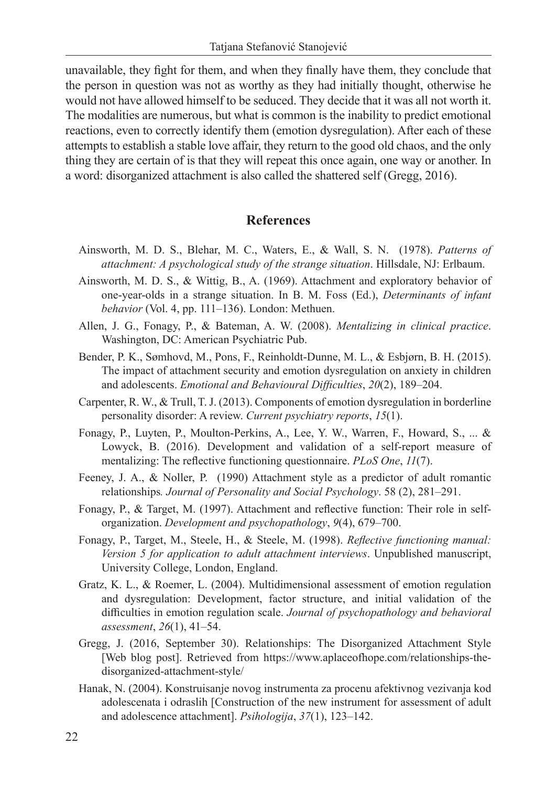unavailable, they fight for them, and when they finally have them, they conclude that the person in question was not as worthy as they had initially thought, otherwise he would not have allowed himself to be seduced. They decide that it was all not worth it. The modalities are numerous, but what is common is the inability to predict emotional reactions, even to correctly identify them (emotion dysregulation). After each of these attempts to establish a stable love affair, they return to the good old chaos, and the only thing they are certain of is that they will repeat this once again, one way or another. In a word: disorganized attachment is also called the shattered self (Gregg, 2016).

#### **References**

- Ainsworth, M. D. S., Blehar, M. C., Waters, E., & Wall, S. N. (1978). *Patterns of attachment: A psychological study of the strange situation*. Hillsdale, NJ: Erlbaum.
- Ainsworth, M. D. S., & Wittig, B., A. (1969). Attachment and exploratory behavior of one-year-olds in a strange situation. In B. M. Foss (Ed.), *Determinants of infant behavior* (Vol. 4, pp. 111–136). London: Methuen.
- Allen, J. G., Fonagy, P., & Bateman, A. W. (2008). *Mentalizing in clinical practice*. Washington, DC: American Psychiatric Pub.
- Bender, P. K., Sømhovd, M., Pons, F., Reinholdt-Dunne, M. L., & Esbjørn, B. H. (2015). The impact of attachment security and emotion dysregulation on anxiety in children and adolescents. *Emotional and Behavioural Difficulties*, *20*(2), 189–204.
- Carpenter, R. W., & Trull, T. J. (2013). Components of emotion dysregulation in borderline personality disorder: A review. *Current psychiatry reports*, *15*(1).
- Fonagy, P., Luyten, P., Moulton-Perkins, A., Lee, Y. W., Warren, F., Howard, S., ... & Lowyck, B. (2016). Development and validation of a self-report measure of mentalizing: The reflective functioning questionnaire. *PLoS One*, *11*(7).
- Feeney, J. A., & Noller, P. (1990) Attachment style as a predictor of adult romantic relationships*. Journal of Personality and Social Psychology*. 58 (2), 281–291.
- Fonagy, P., & Target, M. (1997). Attachment and reflective function: Their role in selforganization. *Development and psychopathology*, *9*(4), 679–700.
- Fonagy, P., Target, M., Steele, H., & Steele, M. (1998). *Reflective functioning manual: Version 5 for application to adult attachment interviews*. Unpublished manuscript, University College, London, England.
- Gratz, K. L., & Roemer, L. (2004). Multidimensional assessment of emotion regulation and dysregulation: Development, factor structure, and initial validation of the difficulties in emotion regulation scale. *Journal of psychopathology and behavioral assessment*, *26*(1), 41–54.
- Gregg, J. (2016, September 30). Relationships: The Disorganized Attachment Style [Web blog post]. Retrieved from https://www.aplaceofhope.com/relationships-thedisorganized-attachment-style/
- Hanak, N. (2004). Konstruisanje novog instrumenta za procenu afektivnog vezivanja kod adolescenata i odraslih [Construction of the new instrument for assessment of adult and adolescence attachment]. *Psihologija*, *37*(1), 123–142.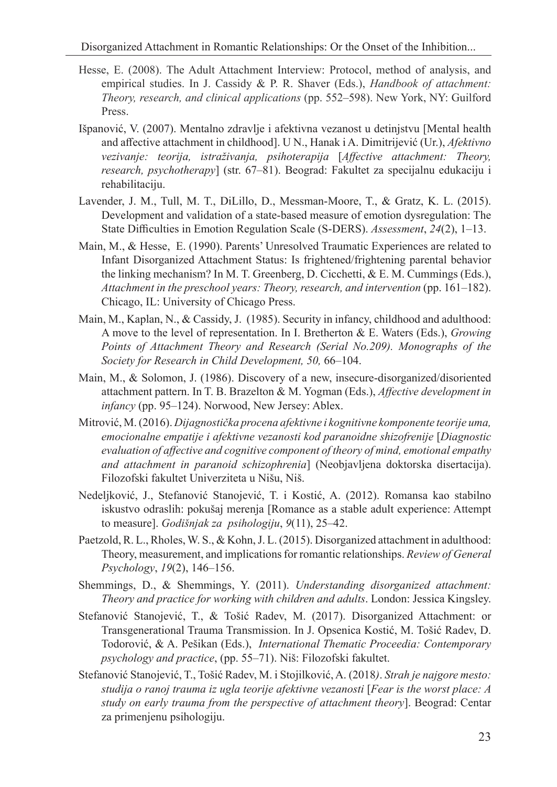- Hesse, E. (2008). The Adult Attachment Interview: Protocol, method of analysis, and empirical studies. In J. Cassidy & P. R. Shaver (Eds.), *Handbook of attachment: Theory, research, and clinical applications* (pp. 552–598). New York, NY: Guilford Press.
- Išpanović, V. (2007). Mentalno zdravlje i afektivna vezanost u detinjstvu [Mental health and affective attachment in childhood]. U N., Hanak i A. Dimitrijević (Ur.), *Afektivno vezivanje: teorija, istraživanja, psihoterapija* [*Affective attachment: Theory, research, psychotherapy*] (str. 67–81). Beograd: Fakultet za specijalnu edukaciju i rehabilitaciju.
- Lavender, J. M., Tull, M. T., DiLillo, D., Messman-Moore, T., & Gratz, K. L. (2015). Development and validation of a state-based measure of emotion dysregulation: The State Difficulties in Emotion Regulation Scale (S-DERS). *Assessment*, *24*(2), 1–13.
- Main, M., & Hesse, E. (1990). Parents' Unresolved Traumatic Experiences are related to Infant Disorganized Attachment Status: Is frightened/frightening parental behavior the linking mechanism? In M. T. Greenberg, D. Cicchetti, & E. M. Cummings (Eds.), *Attachment in the preschool years: Theory, research, and intervention* (pp. 161–182). Chicago, IL: University of Chicago Press.
- Main, M., Kaplan, N., & Cassidy, J. (1985). Security in infancy, childhood and adulthood: A move to the level of representation. In I. Bretherton & E. Waters (Eds.), *Growing Points of Attachment Theory and Research (Serial No.209). Monographs of the Society for Research in Child Development, 50,* 66–104.
- Main, M., & Solomon, J. (1986). Discovery of a new, insecure-disorganized/disoriented attachment pattern. In T. B. Brazelton & M. Yogman (Eds.), *Affective development in infancy* (pp. 95–124). Norwood, New Jersey: Ablex.
- Mitrović, M. (2016). *Dijagnostička procena afektivne i kognitivne komponente teorije uma, emocionalne empatije i afektivne vezanosti kod paranoidne shizofrenije* [*Diagnostic evaluation of affective and cognitive component of theory of mind, emotional empathy and attachment in paranoid schizophrenia*] (Neobjavljena doktorska disertacija). Filozofski fakultet Univerziteta u Nišu, Niš.
- Nedeljković, J., Stefanović Stanojević, T. i Kostić, A. (2012). Romansa kao stabilno iskustvo odraslih: pokušaj merenja [Romance as a stable adult experience: Attempt to measure]. *Godišnjak za psihologiju*, *9*(11), 25–42.
- Paetzold, R. L., Rholes, W. S., & Kohn, J. L. (2015). Disorganized attachment in adulthood: Theory, measurement, and implications for romantic relationships. *Review of General Psychology*, *19*(2), 146–156.
- Shemmings, D., & Shemmings, Y. (2011). *Understanding disorganized attachment: Theory and practice for working with children and adults*. London: Jessica Kingsley.
- Stefanović Stanojević, T., & Tošić Radev, M. (2017). Disorganized Attachment: or Transgenerational Trauma Transmission. In J. Opsenica Kostić, M. Tošić Radev, D. Todorović, & A. Pešikan (Eds.), *International Thematic Proceedia: Contemporary psychology and practice*, (pp. 55–71). Niš: Filozofski fakultet.
- Stefanović Stanojević, T., Tošić Radev, M. i Stojilković, A. (2018*)*. *Strah je najgore mesto: studija o ranoj trauma iz ugla teorije afektivne vezanosti* [*Fear is the worst place: A study on early trauma from the perspective of attachment theory*]. Beograd: Centar za primenjenu psihologiju.